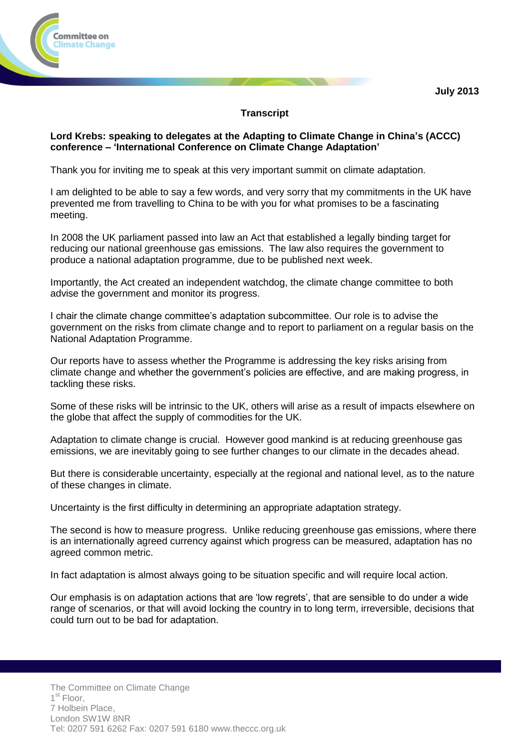

## **Transcript**

## **Lord Krebs: speaking to delegates at the Adapting to Climate Change in China's (ACCC) conference – 'International Conference on Climate Change Adaptation'**

Thank you for inviting me to speak at this very important summit on climate adaptation.

I am delighted to be able to say a few words, and very sorry that my commitments in the UK have prevented me from travelling to China to be with you for what promises to be a fascinating meeting.

In 2008 the UK parliament passed into law an Act that established a legally binding target for reducing our national greenhouse gas emissions. The law also requires the government to produce a national adaptation programme, due to be published next week.

Importantly, the Act created an independent watchdog, the climate change committee to both advise the government and monitor its progress.

I chair the climate change committee's adaptation subcommittee. Our role is to advise the government on the risks from climate change and to report to parliament on a regular basis on the National Adaptation Programme.

Our reports have to assess whether the Programme is addressing the key risks arising from climate change and whether the government's policies are effective, and are making progress, in tackling these risks.

Some of these risks will be intrinsic to the UK, others will arise as a result of impacts elsewhere on the globe that affect the supply of commodities for the UK.

Adaptation to climate change is crucial. However good mankind is at reducing greenhouse gas emissions, we are inevitably going to see further changes to our climate in the decades ahead.

But there is considerable uncertainty, especially at the regional and national level, as to the nature of these changes in climate.

Uncertainty is the first difficulty in determining an appropriate adaptation strategy.

The second is how to measure progress. Unlike reducing greenhouse gas emissions, where there is an internationally agreed currency against which progress can be measured, adaptation has no agreed common metric.

In fact adaptation is almost always going to be situation specific and will require local action.

Our emphasis is on adaptation actions that are 'low regrets', that are sensible to do under a wide range of scenarios, or that will avoid locking the country in to long term, irreversible, decisions that could turn out to be bad for adaptation.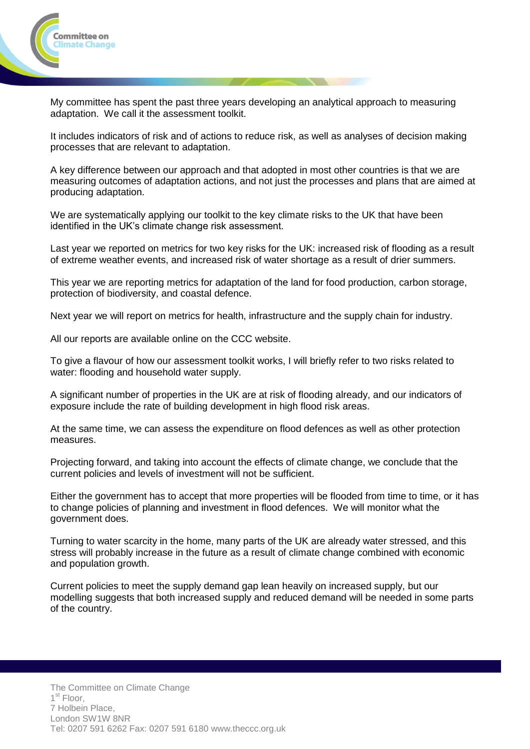

My committee has spent the past three years developing an analytical approach to measuring adaptation. We call it the assessment toolkit.

It includes indicators of risk and of actions to reduce risk, as well as analyses of decision making processes that are relevant to adaptation.

A key difference between our approach and that adopted in most other countries is that we are measuring outcomes of adaptation actions, and not just the processes and plans that are aimed at producing adaptation.

We are systematically applying our toolkit to the key climate risks to the UK that have been identified in the UK's climate change risk assessment.

Last year we reported on metrics for two key risks for the UK: increased risk of flooding as a result of extreme weather events, and increased risk of water shortage as a result of drier summers.

This year we are reporting metrics for adaptation of the land for food production, carbon storage, protection of biodiversity, and coastal defence.

Next year we will report on metrics for health, infrastructure and the supply chain for industry.

All our reports are available online on the CCC website.

To give a flavour of how our assessment toolkit works, I will briefly refer to two risks related to water: flooding and household water supply.

A significant number of properties in the UK are at risk of flooding already, and our indicators of exposure include the rate of building development in high flood risk areas.

At the same time, we can assess the expenditure on flood defences as well as other protection measures.

Projecting forward, and taking into account the effects of climate change, we conclude that the current policies and levels of investment will not be sufficient.

Either the government has to accept that more properties will be flooded from time to time, or it has to change policies of planning and investment in flood defences. We will monitor what the government does.

Turning to water scarcity in the home, many parts of the UK are already water stressed, and this stress will probably increase in the future as a result of climate change combined with economic and population growth.

Current policies to meet the supply demand gap lean heavily on increased supply, but our modelling suggests that both increased supply and reduced demand will be needed in some parts of the country.